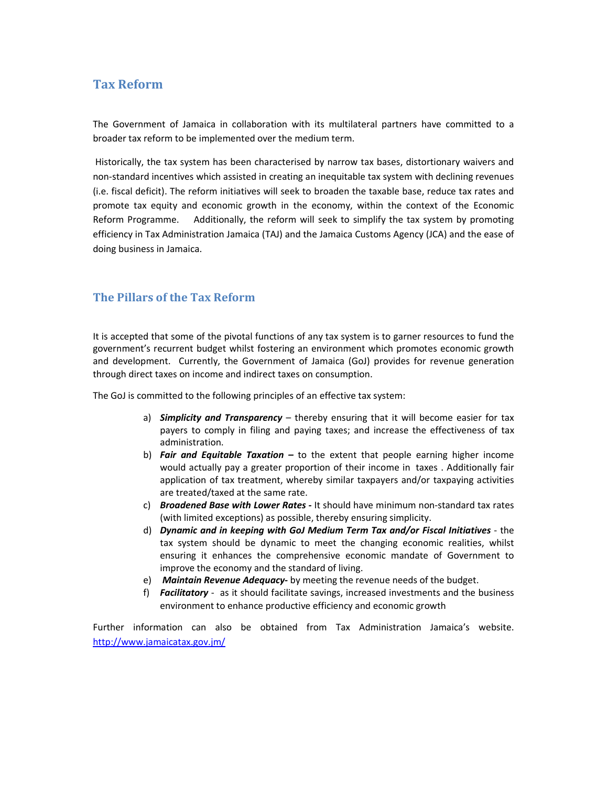# Tax Reform

The Government of Jamaica in collaboration with its multilateral partners have committed to a broader tax reform to be implemented over the medium term.

 Historically, the tax system has been characterised by narrow tax bases, distortionary waivers and non-standard incentives which assisted in creating an inequitable tax system with declining revenues (i.e. fiscal deficit). The reform initiatives will seek to broaden the taxable base, reduce tax rates and promote tax equity and economic growth in the economy, within the context of the Economic Reform Programme. Additionally, the reform will seek to simplify the tax system by promoting efficiency in Tax Administration Jamaica (TAJ) and the Jamaica Customs Agency (JCA) and the ease of doing business in Jamaica.

## The Pillars of the Tax Reform

It is accepted that some of the pivotal functions of any tax system is to garner resources to fund the government's recurrent budget whilst fostering an environment which promotes economic growth and development. Currently, the Government of Jamaica (GoJ) provides for revenue generation through direct taxes on income and indirect taxes on consumption.

The GoJ is committed to the following principles of an effective tax system:

- a) Simplicity and Transparency thereby ensuring that it will become easier for tax payers to comply in filing and paying taxes; and increase the effectiveness of tax administration.
- b) Fair and Equitable Taxation to the extent that people earning higher income would actually pay a greater proportion of their income in taxes . Additionally fair application of tax treatment, whereby similar taxpayers and/or taxpaying activities are treated/taxed at the same rate.
- c) Broadened Base with Lower Rates It should have minimum non-standard tax rates (with limited exceptions) as possible, thereby ensuring simplicity.
- d) Dynamic and in keeping with GoJ Medium Term Tax and/or Fiscal Initiatives the tax system should be dynamic to meet the changing economic realities, whilst ensuring it enhances the comprehensive economic mandate of Government to improve the economy and the standard of living.
- e) Maintain Revenue Adequacy- by meeting the revenue needs of the budget.
- f) Facilitatory as it should facilitate savings, increased investments and the business environment to enhance productive efficiency and economic growth

Further information can also be obtained from Tax Administration Jamaica's website. http://www.jamaicatax.gov.jm/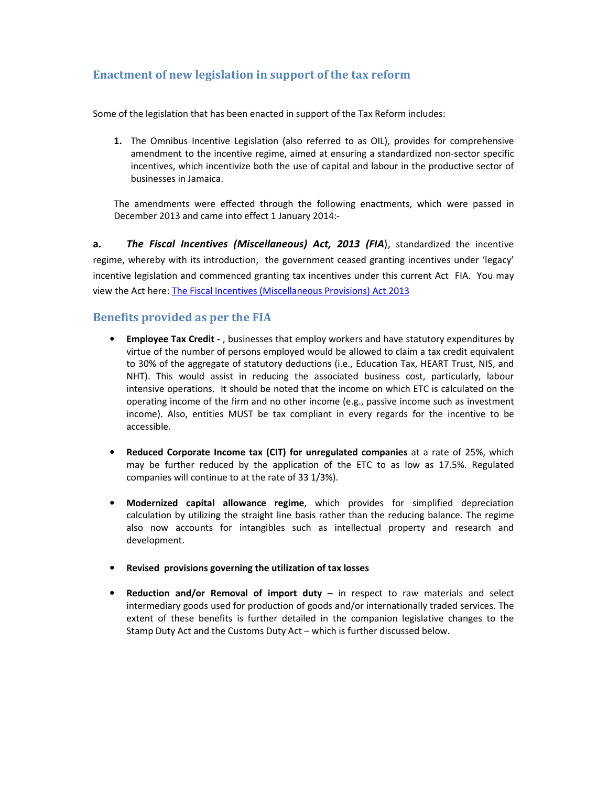# Enactment of new legislation in support of the tax reform

Some of the legislation that has been enacted in support of the Tax Reform includes:

1. The Omnibus Incentive Legislation (also referred to as OIL), provides for comprehensive amendment to the incentive regime, aimed at ensuring a standardized non-sector specific incentives, which incentivize both the use of capital and labour in the productive sector of businesses in Jamaica.

The amendments were effected through the following enactments, which were passed in December 2013 and came into effect 1 January 2014:-

a. The Fiscal Incentives (Miscellaneous) Act, 2013 (FIA), standardized the incentive regime, whereby with its introduction, the government ceased granting incentives under 'legacy' incentive legislation and commenced granting tax incentives under this current Act FIA. You may view the Act here: The Fiscal Incentives (Miscellaneous Provisions) Act 2013

## Benefits provided as per the FIA

- Employee Tax Credit , businesses that employ workers and have statutory expenditures by virtue of the number of persons employed would be allowed to claim a tax credit equivalent to 30% of the aggregate of statutory deductions (i.e., Education Tax, HEART Trust, NIS, and NHT). This would assist in reducing the associated business cost, particularly, labour intensive operations. It should be noted that the income on which ETC is calculated on the operating income of the firm and no other income (e.g., passive income such as investment income). Also, entities MUST be tax compliant in every regards for the incentive to be accessible.
- Reduced Corporate Income tax (CIT) for unregulated companies at a rate of 25%, which may be further reduced by the application of the ETC to as low as 17.5%. Regulated companies will continue to at the rate of 33 1/3%).
- Modernized capital allowance regime, which provides for simplified depreciation calculation by utilizing the straight line basis rather than the reducing balance. The regime also now accounts for intangibles such as intellectual property and research and development.
- Revised provisions governing the utilization of tax losses
- Reduction and/or Removal of import duty in respect to raw materials and select intermediary goods used for production of goods and/or internationally traded services. The extent of these benefits is further detailed in the companion legislative changes to the Stamp Duty Act and the Customs Duty Act – which is further discussed below.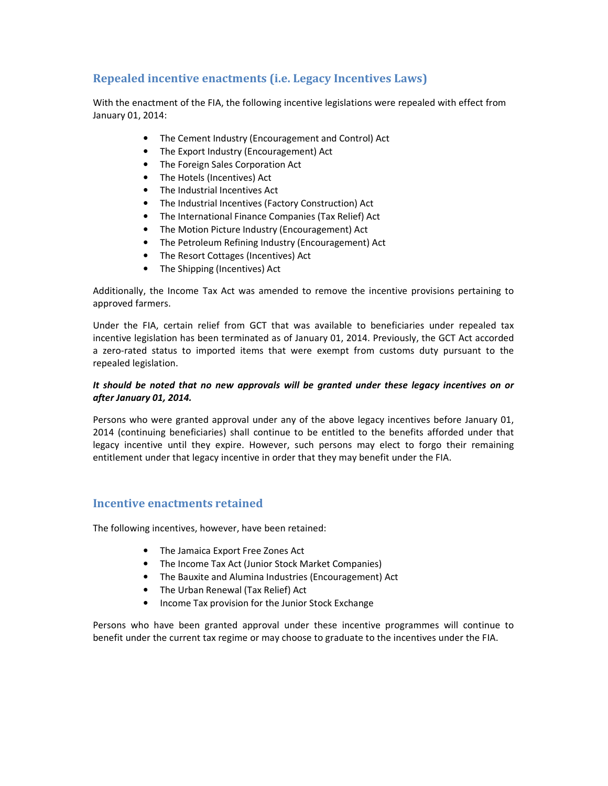# Repealed incentive enactments (i.e. Legacy Incentives Laws)

With the enactment of the FIA, the following incentive legislations were repealed with effect from January 01, 2014:

- The Cement Industry (Encouragement and Control) Act
- The Export Industry (Encouragement) Act
- The Foreign Sales Corporation Act
- The Hotels (Incentives) Act
- The Industrial Incentives Act
- The Industrial Incentives (Factory Construction) Act
- The International Finance Companies (Tax Relief) Act
- The Motion Picture Industry (Encouragement) Act
- The Petroleum Refining Industry (Encouragement) Act
- The Resort Cottages (Incentives) Act
- The Shipping (Incentives) Act

Additionally, the Income Tax Act was amended to remove the incentive provisions pertaining to approved farmers.

Under the FIA, certain relief from GCT that was available to beneficiaries under repealed tax incentive legislation has been terminated as of January 01, 2014. Previously, the GCT Act accorded a zero-rated status to imported items that were exempt from customs duty pursuant to the repealed legislation.

### It should be noted that no new approvals will be granted under these legacy incentives on or after January 01, 2014.

Persons who were granted approval under any of the above legacy incentives before January 01, 2014 (continuing beneficiaries) shall continue to be entitled to the benefits afforded under that legacy incentive until they expire. However, such persons may elect to forgo their remaining entitlement under that legacy incentive in order that they may benefit under the FIA.

## Incentive enactments retained

The following incentives, however, have been retained:

- The Jamaica Export Free Zones Act
- The Income Tax Act (Junior Stock Market Companies)
- The Bauxite and Alumina Industries (Encouragement) Act
- The Urban Renewal (Tax Relief) Act
- Income Tax provision for the Junior Stock Exchange

Persons who have been granted approval under these incentive programmes will continue to benefit under the current tax regime or may choose to graduate to the incentives under the FIA.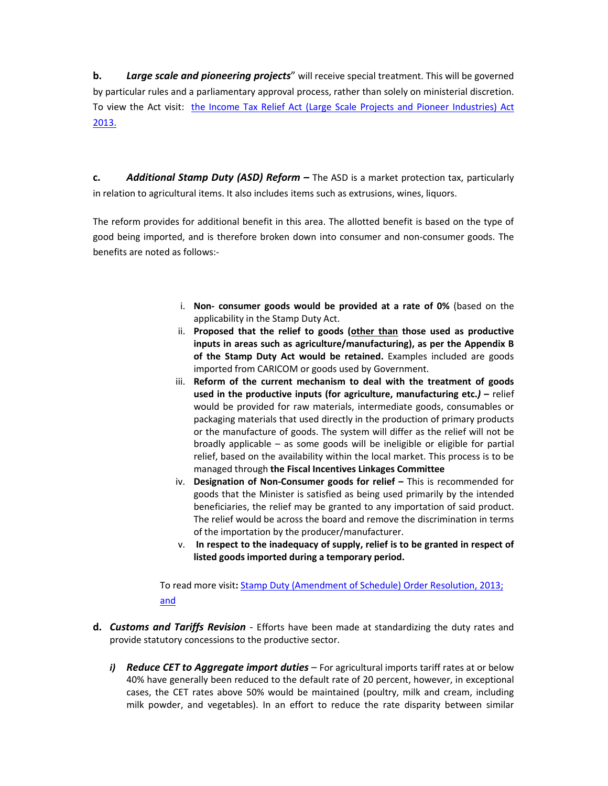b. Large scale and pioneering projects" will receive special treatment. This will be governed by particular rules and a parliamentary approval process, rather than solely on ministerial discretion. To view the Act visit: the Income Tax Relief Act (Large Scale Projects and Pioneer Industries) Act 2013.

c. Additional Stamp Duty (ASD) Reform  $-$  The ASD is a market protection tax, particularly in relation to agricultural items. It also includes items such as extrusions, wines, liquors.

The reform provides for additional benefit in this area. The allotted benefit is based on the type of good being imported, and is therefore broken down into consumer and non-consumer goods. The benefits are noted as follows:-

- i. Non- consumer goods would be provided at a rate of 0% (based on the applicability in the Stamp Duty Act.
- ii. Proposed that the relief to goods (other than those used as productive inputs in areas such as agriculture/manufacturing), as per the Appendix B of the Stamp Duty Act would be retained. Examples included are goods imported from CARICOM or goods used by Government.
- iii. Reform of the current mechanism to deal with the treatment of goods used in the productive inputs (for agriculture, manufacturing etc.) – relief would be provided for raw materials, intermediate goods, consumables or packaging materials that used directly in the production of primary products or the manufacture of goods. The system will differ as the relief will not be broadly applicable – as some goods will be ineligible or eligible for partial relief, based on the availability within the local market. This process is to be managed through the Fiscal Incentives Linkages Committee
- iv. Designation of Non-Consumer goods for relief This is recommended for goods that the Minister is satisfied as being used primarily by the intended beneficiaries, the relief may be granted to any importation of said product. The relief would be across the board and remove the discrimination in terms of the importation by the producer/manufacturer.
- v. In respect to the inadequacy of supply, relief is to be granted in respect of listed goods imported during a temporary period.

To read more visit: Stamp Duty (Amendment of Schedule) Order Resolution, 2013; and

- d. Customs and Tariffs Revision Efforts have been made at standardizing the duty rates and provide statutory concessions to the productive sector.
	- i) Reduce CET to Aggregate import duties  $-$  For agricultural imports tariff rates at or below 40% have generally been reduced to the default rate of 20 percent, however, in exceptional cases, the CET rates above 50% would be maintained (poultry, milk and cream, including milk powder, and vegetables). In an effort to reduce the rate disparity between similar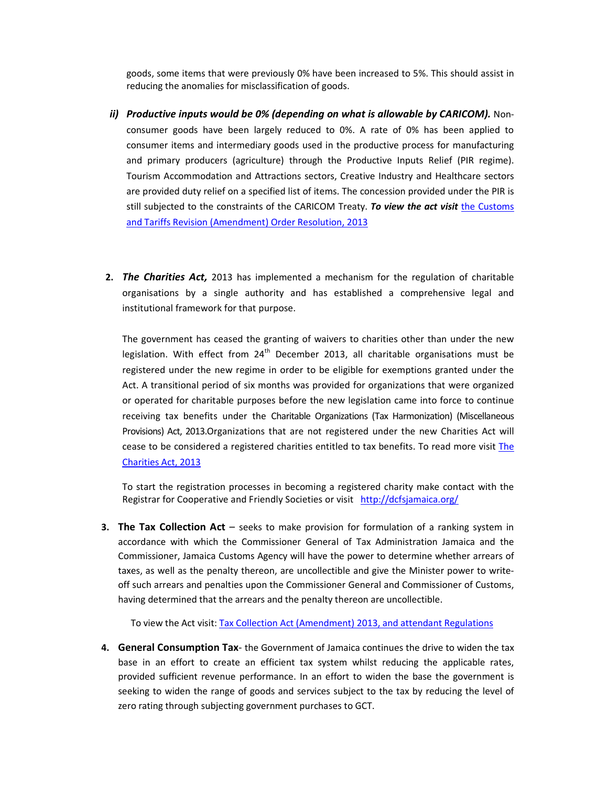goods, some items that were previously 0% have been increased to 5%. This should assist in reducing the anomalies for misclassification of goods.

- ii) Productive inputs would be 0% (depending on what is allowable by CARICOM). Nonconsumer goods have been largely reduced to 0%. A rate of 0% has been applied to consumer items and intermediary goods used in the productive process for manufacturing and primary producers (agriculture) through the Productive Inputs Relief (PIR regime). Tourism Accommodation and Attractions sectors, Creative Industry and Healthcare sectors are provided duty relief on a specified list of items. The concession provided under the PIR is still subjected to the constraints of the CARICOM Treaty. To view the act visit the Customs and Tariffs Revision (Amendment) Order Resolution, 2013
- 2. The Charities Act, 2013 has implemented a mechanism for the regulation of charitable organisations by a single authority and has established a comprehensive legal and institutional framework for that purpose.

The government has ceased the granting of waivers to charities other than under the new legislation. With effect from  $24<sup>th</sup>$  December 2013, all charitable organisations must be registered under the new regime in order to be eligible for exemptions granted under the Act. A transitional period of six months was provided for organizations that were organized or operated for charitable purposes before the new legislation came into force to continue receiving tax benefits under the Charitable Organizations (Tax Harmonization) (Miscellaneous Provisions) Act, 2013.Organizations that are not registered under the new Charities Act will cease to be considered a registered charities entitled to tax benefits. To read more visit The Charities Act, 2013

To start the registration processes in becoming a registered charity make contact with the Registrar for Cooperative and Friendly Societies or visit http://dcfsjamaica.org/

**3. The Tax Collection Act** – seeks to make provision for formulation of a ranking system in accordance with which the Commissioner General of Tax Administration Jamaica and the Commissioner, Jamaica Customs Agency will have the power to determine whether arrears of taxes, as well as the penalty thereon, are uncollectible and give the Minister power to writeoff such arrears and penalties upon the Commissioner General and Commissioner of Customs, having determined that the arrears and the penalty thereon are uncollectible.

To view the Act visit: Tax Collection Act (Amendment) 2013, and attendant Regulations

4. General Consumption Tax- the Government of Jamaica continues the drive to widen the tax base in an effort to create an efficient tax system whilst reducing the applicable rates, provided sufficient revenue performance. In an effort to widen the base the government is seeking to widen the range of goods and services subject to the tax by reducing the level of zero rating through subjecting government purchases to GCT.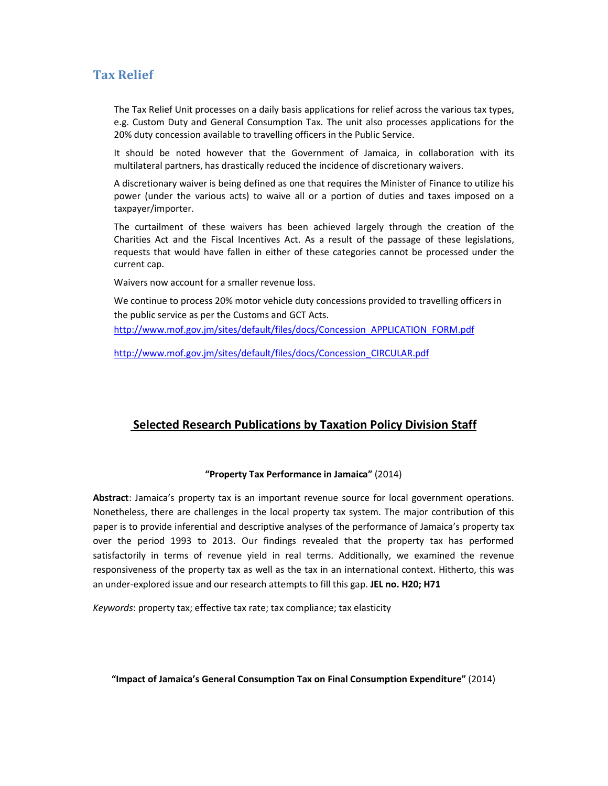# Tax Relief

The Tax Relief Unit processes on a daily basis applications for relief across the various tax types, e.g. Custom Duty and General Consumption Tax. The unit also processes applications for the 20% duty concession available to travelling officers in the Public Service.

It should be noted however that the Government of Jamaica, in collaboration with its multilateral partners, has drastically reduced the incidence of discretionary waivers.

A discretionary waiver is being defined as one that requires the Minister of Finance to utilize his power (under the various acts) to waive all or a portion of duties and taxes imposed on a taxpayer/importer.

The curtailment of these waivers has been achieved largely through the creation of the Charities Act and the Fiscal Incentives Act. As a result of the passage of these legislations, requests that would have fallen in either of these categories cannot be processed under the current cap.

Waivers now account for a smaller revenue loss.

We continue to process 20% motor vehicle duty concessions provided to travelling officers in the public service as per the Customs and GCT Acts. http://www.mof.gov.jm/sites/default/files/docs/Concession\_APPLICATION\_FORM.pdf

http://www.mof.gov.jm/sites/default/files/docs/Concession\_CIRCULAR.pdf

# Selected Research Publications by Taxation Policy Division Staff

### "Property Tax Performance in Jamaica" (2014)

Abstract: Jamaica's property tax is an important revenue source for local government operations. Nonetheless, there are challenges in the local property tax system. The major contribution of this paper is to provide inferential and descriptive analyses of the performance of Jamaica's property tax over the period 1993 to 2013. Our findings revealed that the property tax has performed satisfactorily in terms of revenue yield in real terms. Additionally, we examined the revenue responsiveness of the property tax as well as the tax in an international context. Hitherto, this was an under-explored issue and our research attempts to fill this gap. JEL no. H20; H71

Keywords: property tax; effective tax rate; tax compliance; tax elasticity

"Impact of Jamaica's General Consumption Tax on Final Consumption Expenditure" (2014)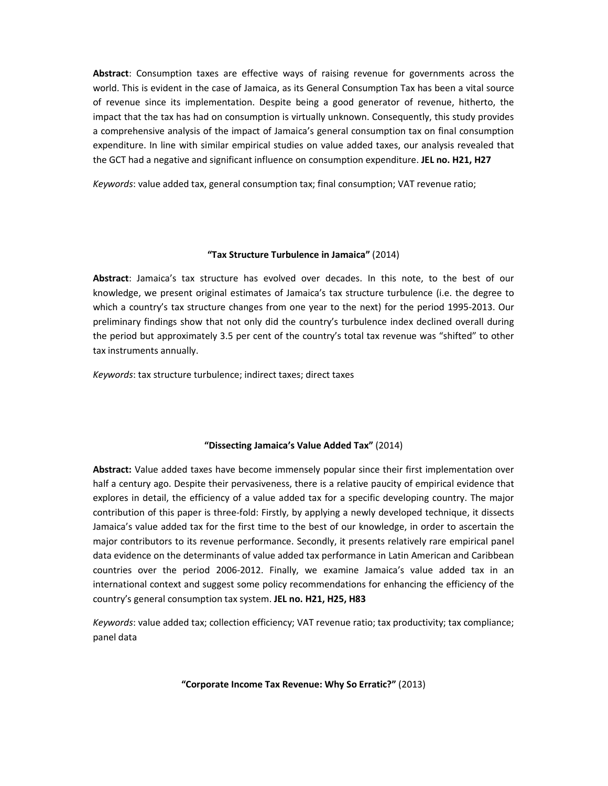Abstract: Consumption taxes are effective ways of raising revenue for governments across the world. This is evident in the case of Jamaica, as its General Consumption Tax has been a vital source of revenue since its implementation. Despite being a good generator of revenue, hitherto, the impact that the tax has had on consumption is virtually unknown. Consequently, this study provides a comprehensive analysis of the impact of Jamaica's general consumption tax on final consumption expenditure. In line with similar empirical studies on value added taxes, our analysis revealed that the GCT had a negative and significant influence on consumption expenditure. JEL no. H21, H27

Keywords: value added tax, general consumption tax; final consumption; VAT revenue ratio;

### "Tax Structure Turbulence in Jamaica" (2014)

Abstract: Jamaica's tax structure has evolved over decades. In this note, to the best of our knowledge, we present original estimates of Jamaica's tax structure turbulence (i.e. the degree to which a country's tax structure changes from one year to the next) for the period 1995-2013. Our preliminary findings show that not only did the country's turbulence index declined overall during the period but approximately 3.5 per cent of the country's total tax revenue was "shifted" to other tax instruments annually.

Keywords: tax structure turbulence; indirect taxes; direct taxes

### "Dissecting Jamaica's Value Added Tax" (2014)

Abstract: Value added taxes have become immensely popular since their first implementation over half a century ago. Despite their pervasiveness, there is a relative paucity of empirical evidence that explores in detail, the efficiency of a value added tax for a specific developing country. The major contribution of this paper is three-fold: Firstly, by applying a newly developed technique, it dissects Jamaica's value added tax for the first time to the best of our knowledge, in order to ascertain the major contributors to its revenue performance. Secondly, it presents relatively rare empirical panel data evidence on the determinants of value added tax performance in Latin American and Caribbean countries over the period 2006-2012. Finally, we examine Jamaica's value added tax in an international context and suggest some policy recommendations for enhancing the efficiency of the country's general consumption tax system. JEL no. H21, H25, H83

Keywords: value added tax; collection efficiency; VAT revenue ratio; tax productivity; tax compliance; panel data

"Corporate Income Tax Revenue: Why So Erratic?" (2013)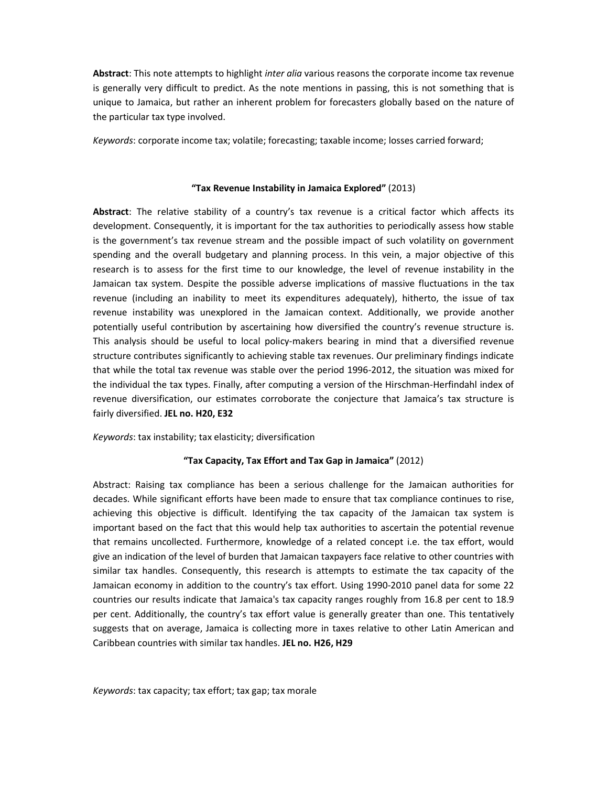Abstract: This note attempts to highlight inter alia various reasons the corporate income tax revenue is generally very difficult to predict. As the note mentions in passing, this is not something that is unique to Jamaica, but rather an inherent problem for forecasters globally based on the nature of the particular tax type involved.

Keywords: corporate income tax; volatile; forecasting; taxable income; losses carried forward;

#### "Tax Revenue Instability in Jamaica Explored" (2013)

Abstract: The relative stability of a country's tax revenue is a critical factor which affects its development. Consequently, it is important for the tax authorities to periodically assess how stable is the government's tax revenue stream and the possible impact of such volatility on government spending and the overall budgetary and planning process. In this vein, a major objective of this research is to assess for the first time to our knowledge, the level of revenue instability in the Jamaican tax system. Despite the possible adverse implications of massive fluctuations in the tax revenue (including an inability to meet its expenditures adequately), hitherto, the issue of tax revenue instability was unexplored in the Jamaican context. Additionally, we provide another potentially useful contribution by ascertaining how diversified the country's revenue structure is. This analysis should be useful to local policy-makers bearing in mind that a diversified revenue structure contributes significantly to achieving stable tax revenues. Our preliminary findings indicate that while the total tax revenue was stable over the period 1996-2012, the situation was mixed for the individual the tax types. Finally, after computing a version of the Hirschman-Herfindahl index of revenue diversification, our estimates corroborate the conjecture that Jamaica's tax structure is fairly diversified. JEL no. H20, E32

Keywords: tax instability; tax elasticity; diversification

### "Tax Capacity, Tax Effort and Tax Gap in Jamaica" (2012)

Abstract: Raising tax compliance has been a serious challenge for the Jamaican authorities for decades. While significant efforts have been made to ensure that tax compliance continues to rise, achieving this objective is difficult. Identifying the tax capacity of the Jamaican tax system is important based on the fact that this would help tax authorities to ascertain the potential revenue that remains uncollected. Furthermore, knowledge of a related concept i.e. the tax effort, would give an indication of the level of burden that Jamaican taxpayers face relative to other countries with similar tax handles. Consequently, this research is attempts to estimate the tax capacity of the Jamaican economy in addition to the country's tax effort. Using 1990-2010 panel data for some 22 countries our results indicate that Jamaica's tax capacity ranges roughly from 16.8 per cent to 18.9 per cent. Additionally, the country's tax effort value is generally greater than one. This tentatively suggests that on average, Jamaica is collecting more in taxes relative to other Latin American and Caribbean countries with similar tax handles. JEL no. H26, H29

Keywords: tax capacity; tax effort; tax gap; tax morale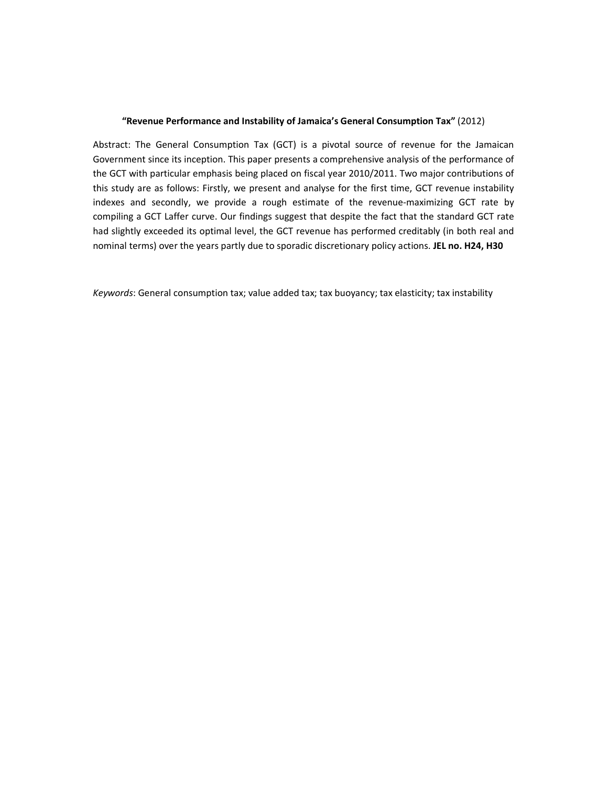#### "Revenue Performance and Instability of Jamaica's General Consumption Tax" (2012)

Abstract: The General Consumption Tax (GCT) is a pivotal source of revenue for the Jamaican Government since its inception. This paper presents a comprehensive analysis of the performance of the GCT with particular emphasis being placed on fiscal year 2010/2011. Two major contributions of this study are as follows: Firstly, we present and analyse for the first time, GCT revenue instability indexes and secondly, we provide a rough estimate of the revenue-maximizing GCT rate by compiling a GCT Laffer curve. Our findings suggest that despite the fact that the standard GCT rate had slightly exceeded its optimal level, the GCT revenue has performed creditably (in both real and nominal terms) over the years partly due to sporadic discretionary policy actions. JEL no. H24, H30

Keywords: General consumption tax; value added tax; tax buoyancy; tax elasticity; tax instability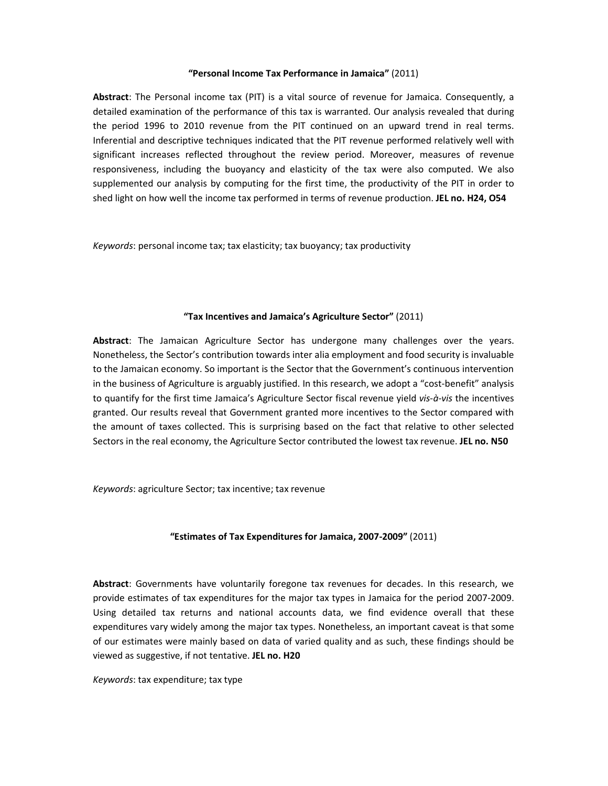#### "Personal Income Tax Performance in Jamaica" (2011)

Abstract: The Personal income tax (PIT) is a vital source of revenue for Jamaica. Consequently, a detailed examination of the performance of this tax is warranted. Our analysis revealed that during the period 1996 to 2010 revenue from the PIT continued on an upward trend in real terms. Inferential and descriptive techniques indicated that the PIT revenue performed relatively well with significant increases reflected throughout the review period. Moreover, measures of revenue responsiveness, including the buoyancy and elasticity of the tax were also computed. We also supplemented our analysis by computing for the first time, the productivity of the PIT in order to shed light on how well the income tax performed in terms of revenue production. JEL no. H24, O54

Keywords: personal income tax; tax elasticity; tax buoyancy; tax productivity

#### "Tax Incentives and Jamaica's Agriculture Sector" (2011)

Abstract: The Jamaican Agriculture Sector has undergone many challenges over the years. Nonetheless, the Sector's contribution towards inter alia employment and food security is invaluable to the Jamaican economy. So important is the Sector that the Government's continuous intervention in the business of Agriculture is arguably justified. In this research, we adopt a "cost-benefit" analysis to quantify for the first time Jamaica's Agriculture Sector fiscal revenue yield vis-à-vis the incentives granted. Our results reveal that Government granted more incentives to the Sector compared with the amount of taxes collected. This is surprising based on the fact that relative to other selected Sectors in the real economy, the Agriculture Sector contributed the lowest tax revenue. JEL no. N50

Keywords: agriculture Sector; tax incentive; tax revenue

#### "Estimates of Tax Expenditures for Jamaica, 2007-2009" (2011)

Abstract: Governments have voluntarily foregone tax revenues for decades. In this research, we provide estimates of tax expenditures for the major tax types in Jamaica for the period 2007-2009. Using detailed tax returns and national accounts data, we find evidence overall that these expenditures vary widely among the major tax types. Nonetheless, an important caveat is that some of our estimates were mainly based on data of varied quality and as such, these findings should be viewed as suggestive, if not tentative. JEL no. H20

Keywords: tax expenditure; tax type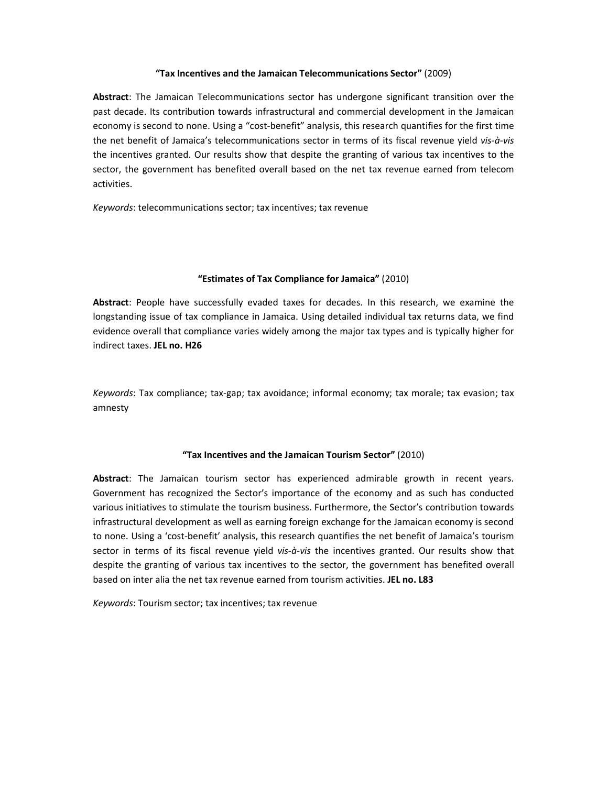#### "Tax Incentives and the Jamaican Telecommunications Sector" (2009)

Abstract: The Jamaican Telecommunications sector has undergone significant transition over the past decade. Its contribution towards infrastructural and commercial development in the Jamaican economy is second to none. Using a "cost-benefit" analysis, this research quantifies for the first time the net benefit of Jamaica's telecommunications sector in terms of its fiscal revenue yield vis-à-vis the incentives granted. Our results show that despite the granting of various tax incentives to the sector, the government has benefited overall based on the net tax revenue earned from telecom activities.

Keywords: telecommunications sector; tax incentives; tax revenue

### "Estimates of Tax Compliance for Jamaica" (2010)

Abstract: People have successfully evaded taxes for decades. In this research, we examine the longstanding issue of tax compliance in Jamaica. Using detailed individual tax returns data, we find evidence overall that compliance varies widely among the major tax types and is typically higher for indirect taxes. JEL no. H26

Keywords: Tax compliance; tax-gap; tax avoidance; informal economy; tax morale; tax evasion; tax amnesty

### "Tax Incentives and the Jamaican Tourism Sector" (2010)

Abstract: The Jamaican tourism sector has experienced admirable growth in recent years. Government has recognized the Sector's importance of the economy and as such has conducted various initiatives to stimulate the tourism business. Furthermore, the Sector's contribution towards infrastructural development as well as earning foreign exchange for the Jamaican economy is second to none. Using a 'cost-benefit' analysis, this research quantifies the net benefit of Jamaica's tourism sector in terms of its fiscal revenue yield vis-à-vis the incentives granted. Our results show that despite the granting of various tax incentives to the sector, the government has benefited overall based on inter alia the net tax revenue earned from tourism activities. JEL no. L83

Keywords: Tourism sector; tax incentives; tax revenue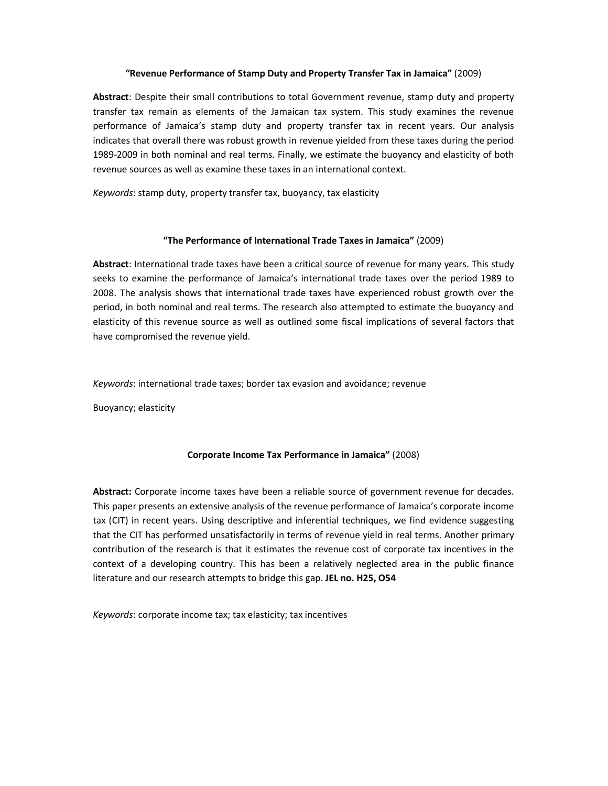#### "Revenue Performance of Stamp Duty and Property Transfer Tax in Jamaica" (2009)

Abstract: Despite their small contributions to total Government revenue, stamp duty and property transfer tax remain as elements of the Jamaican tax system. This study examines the revenue performance of Jamaica's stamp duty and property transfer tax in recent years. Our analysis indicates that overall there was robust growth in revenue yielded from these taxes during the period 1989-2009 in both nominal and real terms. Finally, we estimate the buoyancy and elasticity of both revenue sources as well as examine these taxes in an international context.

Keywords: stamp duty, property transfer tax, buoyancy, tax elasticity

### "The Performance of International Trade Taxes in Jamaica" (2009)

Abstract: International trade taxes have been a critical source of revenue for many years. This study seeks to examine the performance of Jamaica's international trade taxes over the period 1989 to 2008. The analysis shows that international trade taxes have experienced robust growth over the period, in both nominal and real terms. The research also attempted to estimate the buoyancy and elasticity of this revenue source as well as outlined some fiscal implications of several factors that have compromised the revenue yield.

Keywords: international trade taxes; border tax evasion and avoidance; revenue

Buoyancy; elasticity

### Corporate Income Tax Performance in Jamaica" (2008)

Abstract: Corporate income taxes have been a reliable source of government revenue for decades. This paper presents an extensive analysis of the revenue performance of Jamaica's corporate income tax (CIT) in recent years. Using descriptive and inferential techniques, we find evidence suggesting that the CIT has performed unsatisfactorily in terms of revenue yield in real terms. Another primary contribution of the research is that it estimates the revenue cost of corporate tax incentives in the context of a developing country. This has been a relatively neglected area in the public finance literature and our research attempts to bridge this gap. JEL no. H25, O54

Keywords: corporate income tax; tax elasticity; tax incentives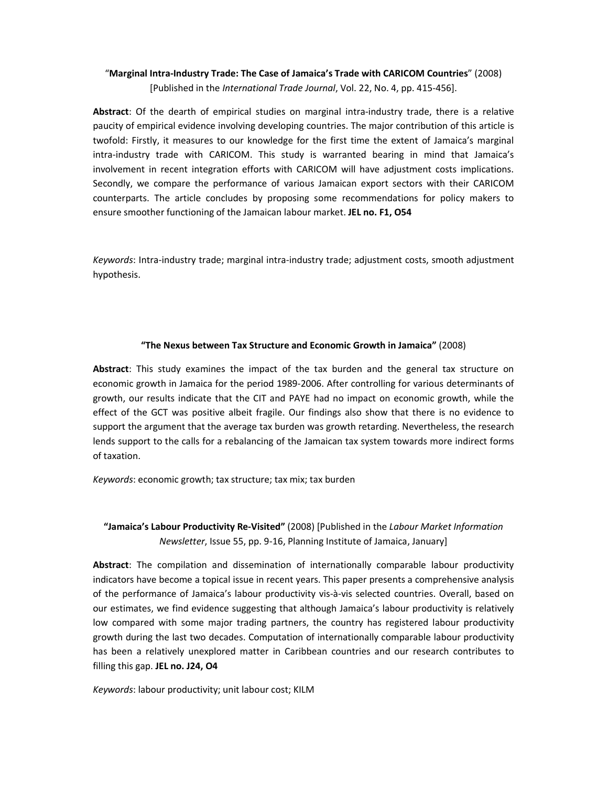## "Marginal Intra-Industry Trade: The Case of Jamaica's Trade with CARICOM Countries" (2008) [Published in the International Trade Journal, Vol. 22, No. 4, pp. 415-456].

Abstract: Of the dearth of empirical studies on marginal intra-industry trade, there is a relative paucity of empirical evidence involving developing countries. The major contribution of this article is twofold: Firstly, it measures to our knowledge for the first time the extent of Jamaica's marginal intra-industry trade with CARICOM. This study is warranted bearing in mind that Jamaica's involvement in recent integration efforts with CARICOM will have adjustment costs implications. Secondly, we compare the performance of various Jamaican export sectors with their CARICOM counterparts. The article concludes by proposing some recommendations for policy makers to ensure smoother functioning of the Jamaican labour market. JEL no. F1, O54

Keywords: Intra-industry trade; marginal intra-industry trade; adjustment costs, smooth adjustment hypothesis.

### "The Nexus between Tax Structure and Economic Growth in Jamaica" (2008)

Abstract: This study examines the impact of the tax burden and the general tax structure on economic growth in Jamaica for the period 1989-2006. After controlling for various determinants of growth, our results indicate that the CIT and PAYE had no impact on economic growth, while the effect of the GCT was positive albeit fragile. Our findings also show that there is no evidence to support the argument that the average tax burden was growth retarding. Nevertheless, the research lends support to the calls for a rebalancing of the Jamaican tax system towards more indirect forms of taxation.

Keywords: economic growth; tax structure; tax mix; tax burden

## "Jamaica's Labour Productivity Re-Visited" (2008) [Published in the Labour Market Information Newsletter, Issue 55, pp. 9-16, Planning Institute of Jamaica, January]

Abstract: The compilation and dissemination of internationally comparable labour productivity indicators have become a topical issue in recent years. This paper presents a comprehensive analysis of the performance of Jamaica's labour productivity vis-à-vis selected countries. Overall, based on our estimates, we find evidence suggesting that although Jamaica's labour productivity is relatively low compared with some major trading partners, the country has registered labour productivity growth during the last two decades. Computation of internationally comparable labour productivity has been a relatively unexplored matter in Caribbean countries and our research contributes to filling this gap. JEL no. J24, O4

Keywords: labour productivity; unit labour cost; KILM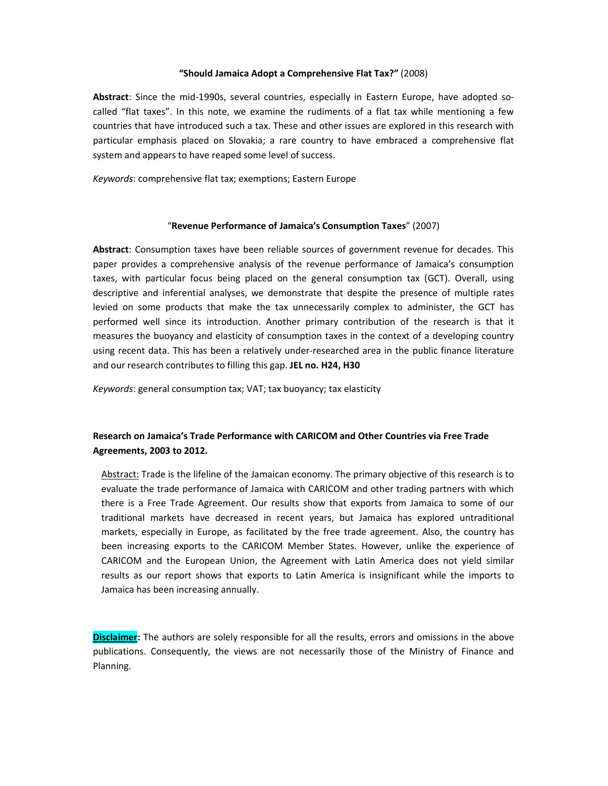#### "Should Jamaica Adopt a Comprehensive Flat Tax?" (2008)

Abstract: Since the mid-1990s, several countries, especially in Eastern Europe, have adopted socalled "flat taxes". In this note, we examine the rudiments of a flat tax while mentioning a few countries that have introduced such a tax. These and other issues are explored in this research with particular emphasis placed on Slovakia; a rare country to have embraced a comprehensive flat system and appears to have reaped some level of success.

Keywords: comprehensive flat tax; exemptions; Eastern Europe

#### "Revenue Performance of Jamaica's Consumption Taxes" (2007)

Abstract: Consumption taxes have been reliable sources of government revenue for decades. This paper provides a comprehensive analysis of the revenue performance of Jamaica's consumption taxes, with particular focus being placed on the general consumption tax (GCT). Overall, using descriptive and inferential analyses, we demonstrate that despite the presence of multiple rates levied on some products that make the tax unnecessarily complex to administer, the GCT has performed well since its introduction. Another primary contribution of the research is that it measures the buoyancy and elasticity of consumption taxes in the context of a developing country using recent data. This has been a relatively under-researched area in the public finance literature and our research contributes to filling this gap. JEL no. H24, H30

Keywords: general consumption tax; VAT; tax buoyancy; tax elasticity

## Research on Jamaica's Trade Performance with CARICOM and Other Countries via Free Trade Agreements, 2003 to 2012.

Abstract: Trade is the lifeline of the Jamaican economy. The primary objective of this research is to evaluate the trade performance of Jamaica with CARICOM and other trading partners with which there is a Free Trade Agreement. Our results show that exports from Jamaica to some of our traditional markets have decreased in recent years, but Jamaica has explored untraditional markets, especially in Europe, as facilitated by the free trade agreement. Also, the country has been increasing exports to the CARICOM Member States. However, unlike the experience of CARICOM and the European Union, the Agreement with Latin America does not yield similar results as our report shows that exports to Latin America is insignificant while the imports to Jamaica has been increasing annually.

**Disclaimer:** The authors are solely responsible for all the results, errors and omissions in the above publications. Consequently, the views are not necessarily those of the Ministry of Finance and Planning.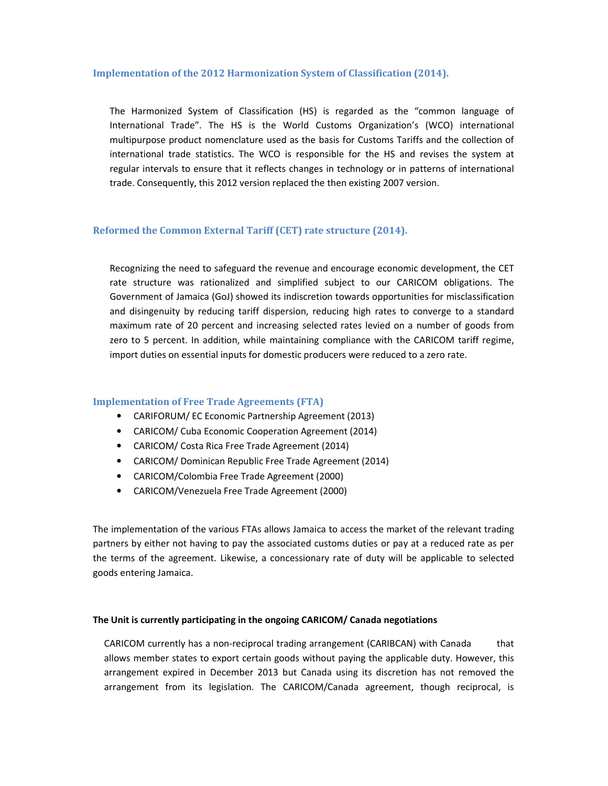#### Implementation of the 2012 Harmonization System of Classification (2014).

The Harmonized System of Classification (HS) is regarded as the "common language of International Trade". The HS is the World Customs Organization's (WCO) international multipurpose product nomenclature used as the basis for Customs Tariffs and the collection of international trade statistics. The WCO is responsible for the HS and revises the system at regular intervals to ensure that it reflects changes in technology or in patterns of international trade. Consequently, this 2012 version replaced the then existing 2007 version.

### Reformed the Common External Tariff (CET) rate structure (2014).

Recognizing the need to safeguard the revenue and encourage economic development, the CET rate structure was rationalized and simplified subject to our CARICOM obligations. The Government of Jamaica (GoJ) showed its indiscretion towards opportunities for misclassification and disingenuity by reducing tariff dispersion, reducing high rates to converge to a standard maximum rate of 20 percent and increasing selected rates levied on a number of goods from zero to 5 percent. In addition, while maintaining compliance with the CARICOM tariff regime, import duties on essential inputs for domestic producers were reduced to a zero rate.

### Implementation of Free Trade Agreements (FTA)

- CARIFORUM/ EC Economic Partnership Agreement (2013)
- CARICOM/ Cuba Economic Cooperation Agreement (2014)
- CARICOM/ Costa Rica Free Trade Agreement (2014)
- CARICOM/ Dominican Republic Free Trade Agreement (2014)
- CARICOM/Colombia Free Trade Agreement (2000)
- CARICOM/Venezuela Free Trade Agreement (2000)

The implementation of the various FTAs allows Jamaica to access the market of the relevant trading partners by either not having to pay the associated customs duties or pay at a reduced rate as per the terms of the agreement. Likewise, a concessionary rate of duty will be applicable to selected goods entering Jamaica.

#### The Unit is currently participating in the ongoing CARICOM/ Canada negotiations

CARICOM currently has a non-reciprocal trading arrangement (CARIBCAN) with Canada that allows member states to export certain goods without paying the applicable duty. However, this arrangement expired in December 2013 but Canada using its discretion has not removed the arrangement from its legislation. The CARICOM/Canada agreement, though reciprocal, is